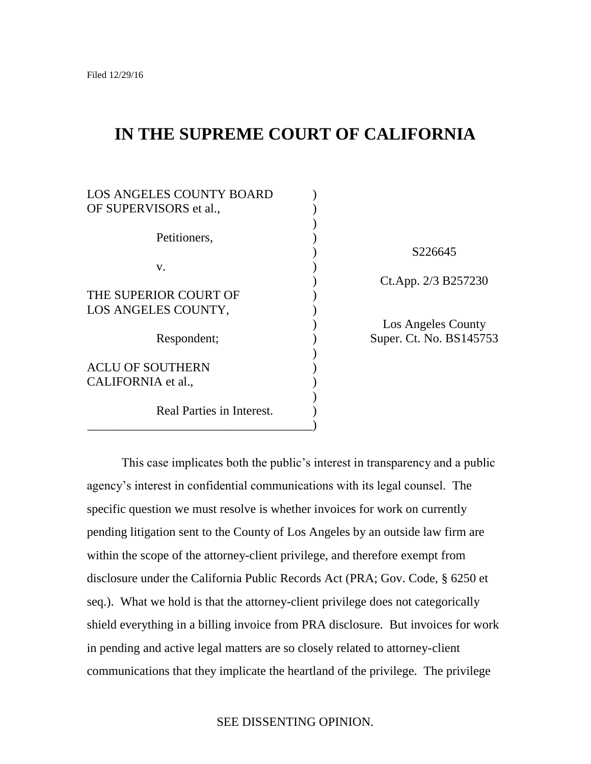# **IN THE SUPREME COURT OF CALIFORNIA**

| <b>LOS ANGELES COUNTY BOARD</b> |  |
|---------------------------------|--|
| OF SUPERVISORS et al.,          |  |
|                                 |  |
| Petitioners,                    |  |
|                                 |  |
| v.                              |  |
|                                 |  |
| THE SUPERIOR COURT OF           |  |
| LOS ANGELES COUNTY,             |  |
|                                 |  |
| Respondent;                     |  |
|                                 |  |
| <b>ACLU OF SOUTHERN</b>         |  |
| CALIFORNIA et al.,              |  |
|                                 |  |
| Real Parties in Interest.       |  |

\_\_\_\_\_\_\_\_\_\_\_\_\_\_\_\_\_\_\_\_\_\_\_\_\_\_\_\_\_\_\_\_\_\_\_\_)

) S226645 ) Ct.App. 2/3 B257230

) Los Angeles County Super. Ct. No. BS145753

This case implicates both the public's interest in transparency and a public agency's interest in confidential communications with its legal counsel. The specific question we must resolve is whether invoices for work on currently pending litigation sent to the County of Los Angeles by an outside law firm are within the scope of the attorney-client privilege, and therefore exempt from disclosure under the California Public Records Act (PRA; Gov. Code, § 6250 et seq.). What we hold is that the attorney-client privilege does not categorically shield everything in a billing invoice from PRA disclosure. But invoices for work in pending and active legal matters are so closely related to attorney-client communications that they implicate the heartland of the privilege. The privilege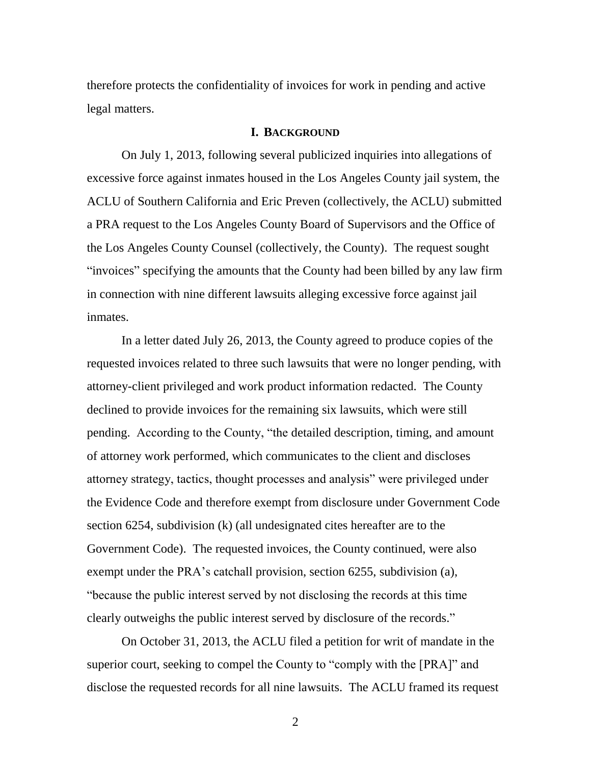therefore protects the confidentiality of invoices for work in pending and active legal matters.

### **I. BACKGROUND**

On July 1, 2013, following several publicized inquiries into allegations of excessive force against inmates housed in the Los Angeles County jail system, the ACLU of Southern California and Eric Preven (collectively, the ACLU) submitted a PRA request to the Los Angeles County Board of Supervisors and the Office of the Los Angeles County Counsel (collectively, the County). The request sought "invoices" specifying the amounts that the County had been billed by any law firm in connection with nine different lawsuits alleging excessive force against jail inmates.

In a letter dated July 26, 2013, the County agreed to produce copies of the requested invoices related to three such lawsuits that were no longer pending, with attorney-client privileged and work product information redacted. The County declined to provide invoices for the remaining six lawsuits, which were still pending. According to the County, "the detailed description, timing, and amount of attorney work performed, which communicates to the client and discloses attorney strategy, tactics, thought processes and analysis" were privileged under the Evidence Code and therefore exempt from disclosure under Government Code section 6254, subdivision (k) (all undesignated cites hereafter are to the Government Code). The requested invoices, the County continued, were also exempt under the PRA's catchall provision, section 6255, subdivision (a), ―because the public interest served by not disclosing the records at this time clearly outweighs the public interest served by disclosure of the records."

On October 31, 2013, the ACLU filed a petition for writ of mandate in the superior court, seeking to compel the County to "comply with the [PRA]" and disclose the requested records for all nine lawsuits. The ACLU framed its request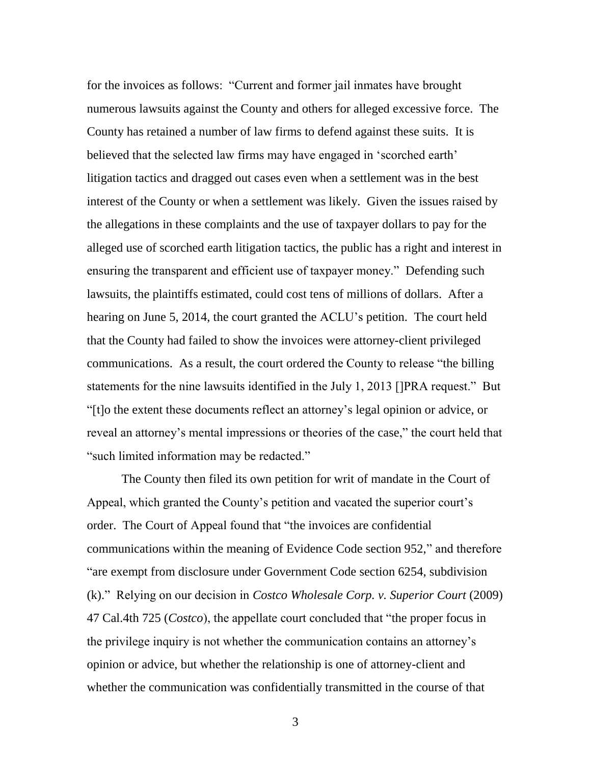for the invoices as follows: "Current and former jail inmates have brought numerous lawsuits against the County and others for alleged excessive force. The County has retained a number of law firms to defend against these suits. It is believed that the selected law firms may have engaged in 'scorched earth' litigation tactics and dragged out cases even when a settlement was in the best interest of the County or when a settlement was likely. Given the issues raised by the allegations in these complaints and the use of taxpayer dollars to pay for the alleged use of scorched earth litigation tactics, the public has a right and interest in ensuring the transparent and efficient use of taxpayer money." Defending such lawsuits, the plaintiffs estimated, could cost tens of millions of dollars. After a hearing on June 5, 2014, the court granted the ACLU's petition. The court held that the County had failed to show the invoices were attorney-client privileged communications. As a result, the court ordered the County to release "the billing statements for the nine lawsuits identified in the July 1, 2013 []PRA request." But ―[t]o the extent these documents reflect an attorney's legal opinion or advice, or reveal an attorney's mental impressions or theories of the case," the court held that "such limited information may be redacted."

The County then filed its own petition for writ of mandate in the Court of Appeal, which granted the County's petition and vacated the superior court's order. The Court of Appeal found that "the invoices are confidential communications within the meaning of Evidence Code section 952," and therefore "are exempt from disclosure under Government Code section 6254, subdivision (k).‖ Relying on our decision in *Costco Wholesale Corp. v. Superior Court* (2009) 47 Cal.4th 725 (*Costco*), the appellate court concluded that "the proper focus in the privilege inquiry is not whether the communication contains an attorney's opinion or advice, but whether the relationship is one of attorney-client and whether the communication was confidentially transmitted in the course of that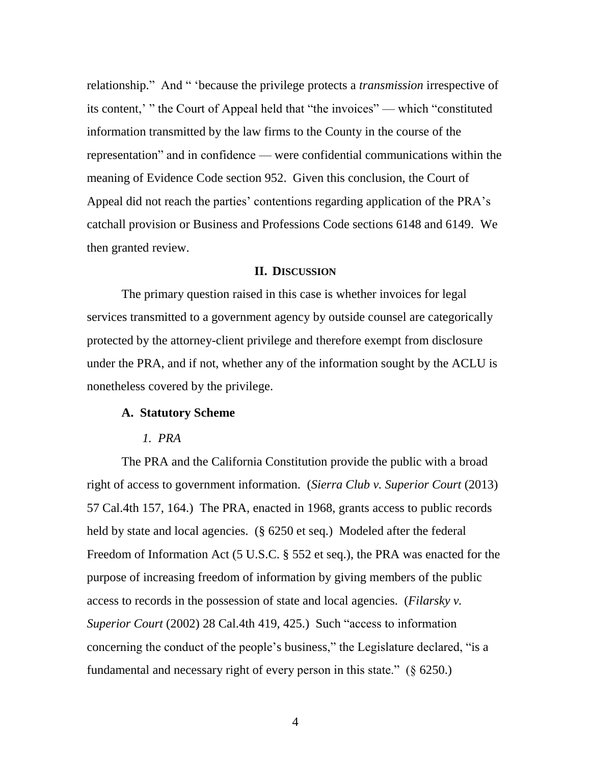relationship." And " *Secause the privilege protects a <i>transmission* irrespective of its content,' " the Court of Appeal held that "the invoices" — which "constituted information transmitted by the law firms to the County in the course of the representation" and in confidence — were confidential communications within the meaning of Evidence Code section 952. Given this conclusion, the Court of Appeal did not reach the parties' contentions regarding application of the PRA's catchall provision or Business and Professions Code sections 6148 and 6149. We then granted review.

### **II. DISCUSSION**

The primary question raised in this case is whether invoices for legal services transmitted to a government agency by outside counsel are categorically protected by the attorney-client privilege and therefore exempt from disclosure under the PRA, and if not, whether any of the information sought by the ACLU is nonetheless covered by the privilege.

### **A. Statutory Scheme**

### *1. PRA*

The PRA and the California Constitution provide the public with a broad right of access to government information. (*Sierra Club v. Superior Court* (2013) 57 Cal.4th 157, 164.) The PRA, enacted in 1968, grants access to public records held by state and local agencies. (§ 6250 et seq.) Modeled after the federal Freedom of Information Act (5 U.S.C. § 552 et seq.), the PRA was enacted for the purpose of increasing freedom of information by giving members of the public access to records in the possession of state and local agencies. (*Filarsky v. Superior Court* (2002) 28 Cal.4th 419, 425.) Such "access to information concerning the conduct of the people's business," the Legislature declared, "is a fundamental and necessary right of every person in this state."  $(\S 6250.)$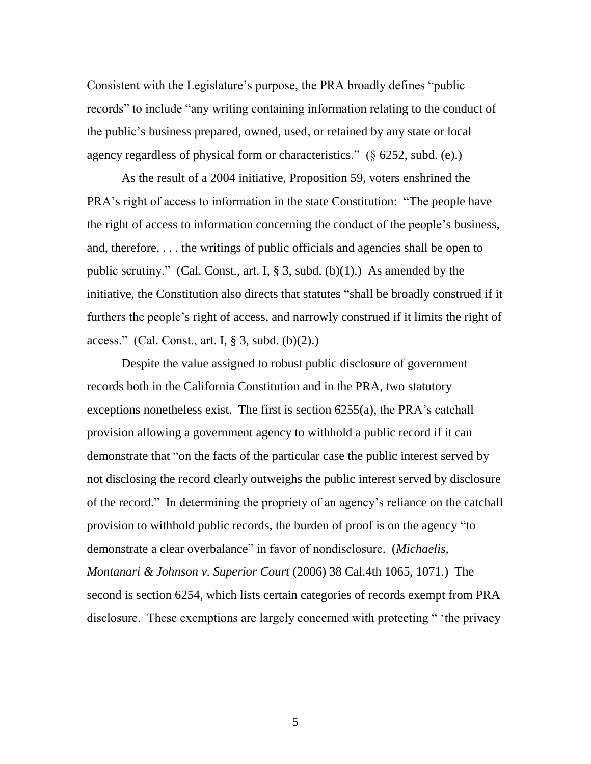Consistent with the Legislature's purpose, the PRA broadly defines "public records" to include "any writing containing information relating to the conduct of the public's business prepared, owned, used, or retained by any state or local agency regardless of physical form or characteristics."  $(\S$  6252, subd. (e).)

As the result of a 2004 initiative, Proposition 59, voters enshrined the PRA's right of access to information in the state Constitution: "The people have the right of access to information concerning the conduct of the people's business, and, therefore, . . . the writings of public officials and agencies shall be open to public scrutiny." (Cal. Const., art. I, § 3, subd. (b)(1).) As amended by the initiative, the Constitution also directs that statutes "shall be broadly construed if it furthers the people's right of access, and narrowly construed if it limits the right of access." (Cal. Const., art. I,  $\S$  3, subd. (b)(2).)

Despite the value assigned to robust public disclosure of government records both in the California Constitution and in the PRA, two statutory exceptions nonetheless exist. The first is section 6255(a), the PRA's catchall provision allowing a government agency to withhold a public record if it can demonstrate that "on the facts of the particular case the public interest served by not disclosing the record clearly outweighs the public interest served by disclosure of the record.‖ In determining the propriety of an agency's reliance on the catchall provision to withhold public records, the burden of proof is on the agency "to demonstrate a clear overbalance" in favor of nondisclosure. (*Michaelis*, *Montanari & Johnson v. Superior Court* (2006) 38 Cal.4th 1065, 1071.) The second is section 6254, which lists certain categories of records exempt from PRA disclosure. These exemptions are largely concerned with protecting " 'the privacy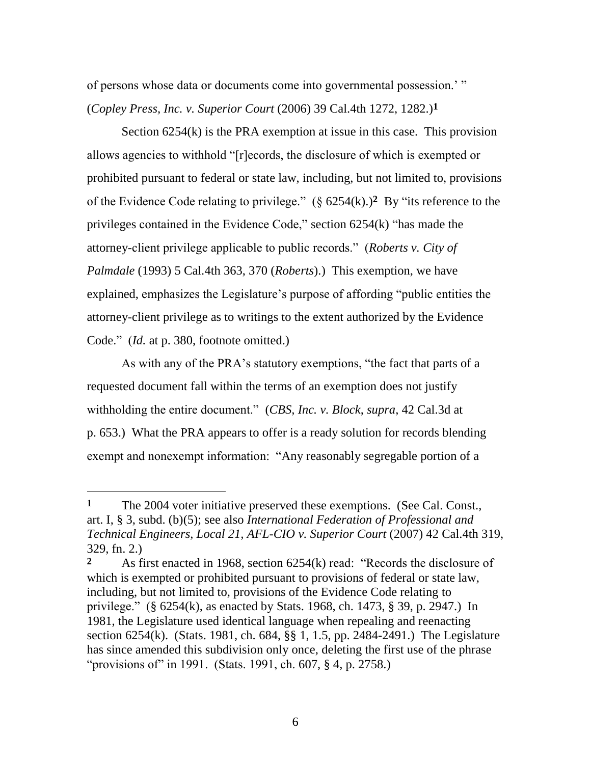of persons whose data or documents come into governmental possession.' " (*Copley Press, Inc. v. Superior Court* (2006) 39 Cal.4th 1272, 1282.)**1**

Section 6254(k) is the PRA exemption at issue in this case. This provision allows agencies to withhold "[r]ecords, the disclosure of which is exempted or prohibited pursuant to federal or state law, including, but not limited to, provisions of the Evidence Code relating to privilege."  $(\S$  6254(k).)<sup>2</sup> By "its reference to the privileges contained in the Evidence Code," section  $6254(k)$  "has made the attorney-client privilege applicable to public records.‖ (*Roberts v. City of Palmdale* (1993) 5 Cal.4th 363, 370 (*Roberts*).) This exemption, we have explained, emphasizes the Legislature's purpose of affording "public entities the attorney-client privilege as to writings to the extent authorized by the Evidence Code." *(Id.* at p. 380, footnote omitted.)

As with any of the PRA's statutory exemptions, "the fact that parts of a requested document fall within the terms of an exemption does not justify withholding the entire document.‖ (*CBS, Inc. v. Block*, *supra*, 42 Cal.3d at p. 653.) What the PRA appears to offer is a ready solution for records blending exempt and nonexempt information: "Any reasonably segregable portion of a

 $\overline{a}$ 

**<sup>1</sup>** The 2004 voter initiative preserved these exemptions. (See Cal. Const., art. I, § 3, subd. (b)(5); see also *International Federation of Professional and Technical Engineers, Local 21, AFL-CIO v. Superior Court* (2007) 42 Cal.4th 319, 329, fn. 2.)

<sup>2</sup> As first enacted in 1968, section 6254(k) read: "Records the disclosure of which is exempted or prohibited pursuant to provisions of federal or state law, including, but not limited to, provisions of the Evidence Code relating to privilege." (§  $6254(k)$ , as enacted by Stats. 1968, ch. 1473, § 39, p. 2947.) In 1981, the Legislature used identical language when repealing and reenacting section 6254(k). (Stats. 1981, ch. 684, §§ 1, 1.5, pp. 2484-2491.) The Legislature has since amended this subdivision only once, deleting the first use of the phrase "provisions of" in 1991. (Stats. 1991, ch. 607, § 4, p. 2758.)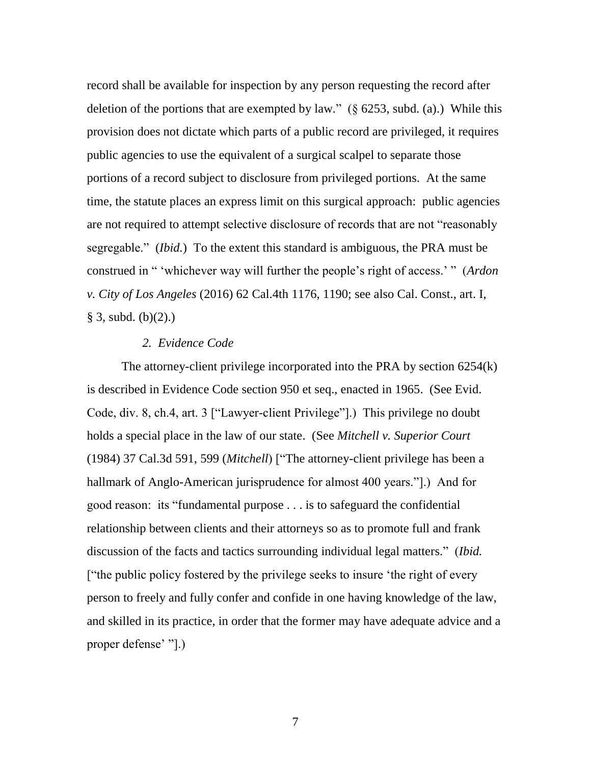record shall be available for inspection by any person requesting the record after deletion of the portions that are exempted by law." ( $\S$  6253, subd. (a).) While this provision does not dictate which parts of a public record are privileged, it requires public agencies to use the equivalent of a surgical scalpel to separate those portions of a record subject to disclosure from privileged portions. At the same time, the statute places an express limit on this surgical approach: public agencies are not required to attempt selective disclosure of records that are not "reasonably" segregable." *(Ibid.)* To the extent this standard is ambiguous, the PRA must be construed in " 'whichever way will further the people's right of access.' " (*Ardon v. City of Los Angeles* (2016) 62 Cal.4th 1176, 1190; see also Cal. Const., art. I,  $§ 3, subd. (b)(2).)$ 

### *2. Evidence Code*

The attorney-client privilege incorporated into the PRA by section 6254(k) is described in Evidence Code section 950 et seq., enacted in 1965. (See Evid. Code, div. 8, ch.4, art. 3 ["Lawyer-client Privilege"].) This privilege no doubt holds a special place in the law of our state. (See *Mitchell v. Superior Court* (1984) 37 Cal.3d 591, 599 (*Mitchell*) ["The attorney-client privilege has been a hallmark of Anglo-American jurisprudence for almost 400 years."[1]. And for good reason: its "fundamental purpose . . . is to safeguard the confidential relationship between clients and their attorneys so as to promote full and frank discussion of the facts and tactics surrounding individual legal matters.‖ (*Ibid.*  ["the public policy fostered by the privilege seeks to insure 'the right of every person to freely and fully confer and confide in one having knowledge of the law, and skilled in its practice, in order that the former may have adequate advice and a proper defense' "[.]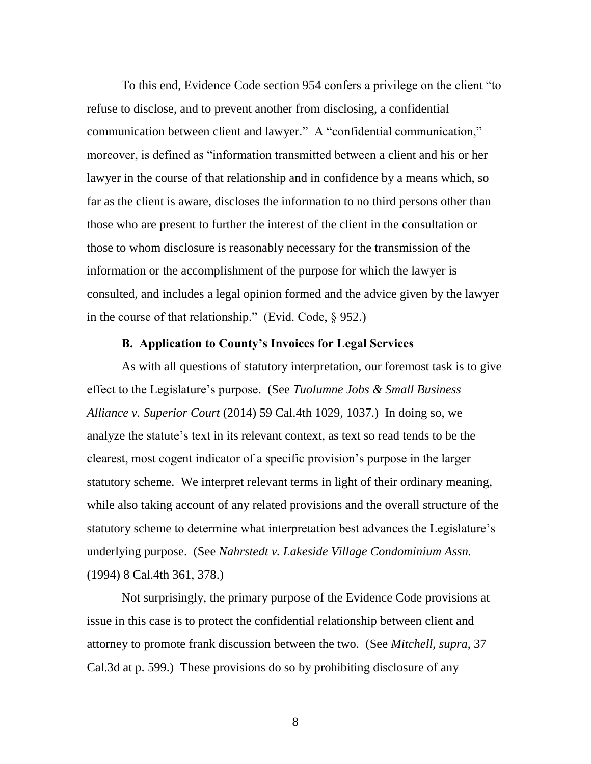To this end, Evidence Code section 954 confers a privilege on the client "to refuse to disclose, and to prevent another from disclosing, a confidential communication between client and lawyer." A "confidential communication," moreover, is defined as "information transmitted between a client and his or her lawyer in the course of that relationship and in confidence by a means which, so far as the client is aware, discloses the information to no third persons other than those who are present to further the interest of the client in the consultation or those to whom disclosure is reasonably necessary for the transmission of the information or the accomplishment of the purpose for which the lawyer is consulted, and includes a legal opinion formed and the advice given by the lawyer in the course of that relationship." (Evid. Code,  $\S$  952.)

# **B. Application to County's Invoices for Legal Services**

As with all questions of statutory interpretation, our foremost task is to give effect to the Legislature's purpose. (See *Tuolumne Jobs & Small Business Alliance v. Superior Court* (2014) 59 Cal.4th 1029, 1037.) In doing so, we analyze the statute's text in its relevant context, as text so read tends to be the clearest, most cogent indicator of a specific provision's purpose in the larger statutory scheme. We interpret relevant terms in light of their ordinary meaning, while also taking account of any related provisions and the overall structure of the statutory scheme to determine what interpretation best advances the Legislature's underlying purpose. (See *Nahrstedt v. Lakeside Village Condominium Assn.* (1994) 8 Cal.4th 361, 378.)

Not surprisingly, the primary purpose of the Evidence Code provisions at issue in this case is to protect the confidential relationship between client and attorney to promote frank discussion between the two. (See *Mitchell*, *supra*, 37 Cal.3d at p. 599.) These provisions do so by prohibiting disclosure of any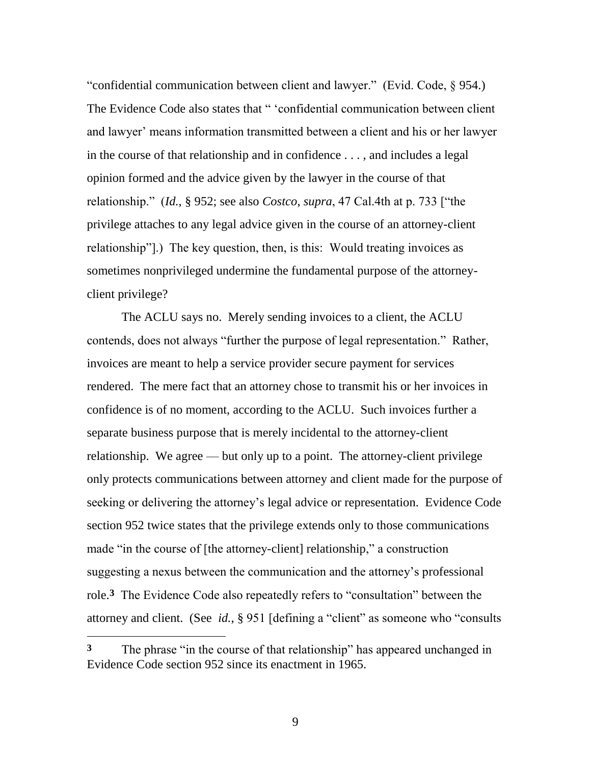"confidential communication between client and lawyer." (Evid. Code, § 954.) The Evidence Code also states that " 'confidential communication between client and lawyer' means information transmitted between a client and his or her lawyer in the course of that relationship and in confidence . . . , and includes a legal opinion formed and the advice given by the lawyer in the course of that relationship." (*Id.*, § 952; see also *Costco*, *supra*, 47 Cal.4th at p. 733 ["the privilege attaches to any legal advice given in the course of an attorney-client relationship"].) The key question, then, is this: Would treating invoices as sometimes nonprivileged undermine the fundamental purpose of the attorneyclient privilege?

The ACLU says no. Merely sending invoices to a client, the ACLU contends, does not always "further the purpose of legal representation." Rather, invoices are meant to help a service provider secure payment for services rendered. The mere fact that an attorney chose to transmit his or her invoices in confidence is of no moment, according to the ACLU. Such invoices further a separate business purpose that is merely incidental to the attorney-client relationship. We agree — but only up to a point. The attorney-client privilege only protects communications between attorney and client made for the purpose of seeking or delivering the attorney's legal advice or representation. Evidence Code section 952 twice states that the privilege extends only to those communications made "in the course of [the attorney-client] relationship," a construction suggesting a nexus between the communication and the attorney's professional role.<sup>3</sup> The Evidence Code also repeatedly refers to "consultation" between the attorney and client. (See *id.*, § 951 [defining a "client" as someone who "consults

 $\overline{a}$ 

**<sup>3</sup>** The phrase "in the course of that relationship" has appeared unchanged in Evidence Code section 952 since its enactment in 1965.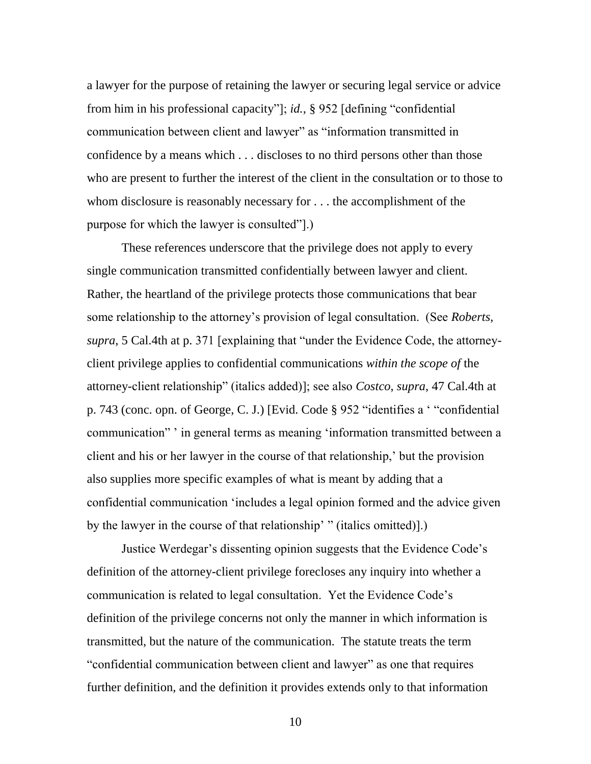a lawyer for the purpose of retaining the lawyer or securing legal service or advice from him in his professional capacity"]; *id.*, § 952 [defining "confidential communication between client and lawyer" as "information transmitted in confidence by a means which . . . discloses to no third persons other than those who are present to further the interest of the client in the consultation or to those to whom disclosure is reasonably necessary for . . . the accomplishment of the purpose for which the lawyer is consulted".

These references underscore that the privilege does not apply to every single communication transmitted confidentially between lawyer and client. Rather, the heartland of the privilege protects those communications that bear some relationship to the attorney's provision of legal consultation. (See *Roberts*, *supra*, 5 Cal.4th at p. 371 [explaining that "under the Evidence Code, the attorneyclient privilege applies to confidential communications *within the scope of* the attorney-client relationship‖ (italics added)]; see also *Costco*, *supra*, 47 Cal.4th at p. 743 (conc. opn. of George, C. J.) [Evid. Code § 952 "identifies a ' "confidential" communication" ' in general terms as meaning 'information transmitted between a client and his or her lawyer in the course of that relationship,' but the provision also supplies more specific examples of what is meant by adding that a confidential communication ‗includes a legal opinion formed and the advice given by the lawyer in the course of that relationship'  $\cdot$  (italics omitted)].)

Justice Werdegar's dissenting opinion suggests that the Evidence Code's definition of the attorney-client privilege forecloses any inquiry into whether a communication is related to legal consultation. Yet the Evidence Code's definition of the privilege concerns not only the manner in which information is transmitted, but the nature of the communication. The statute treats the term "confidential communication between client and lawyer" as one that requires further definition, and the definition it provides extends only to that information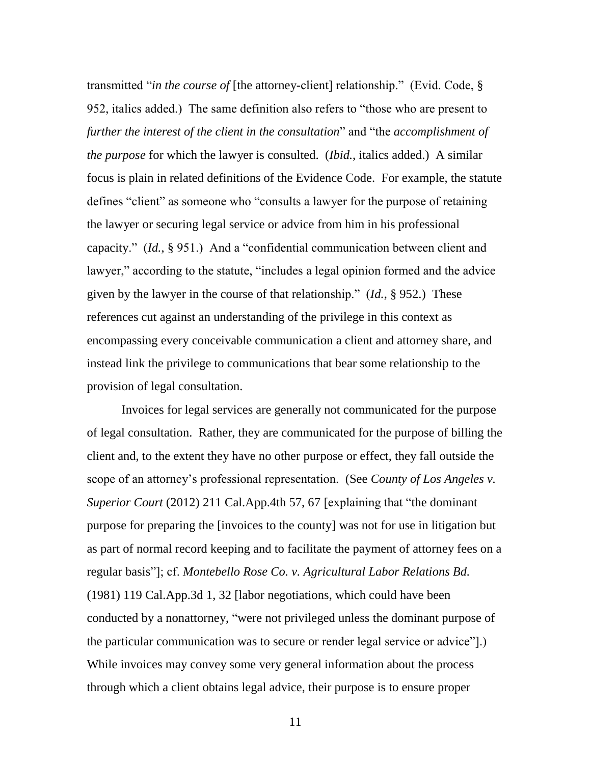transmitted "*in the course of* [the attorney-client] relationship." (Evid. Code, § 952, italics added.) The same definition also refers to "those who are present to *further the interest of the client in the consultation*" and "the *accomplishment of the purpose* for which the lawyer is consulted. (*Ibid.*, italics added.) A similar focus is plain in related definitions of the Evidence Code. For example, the statute defines "client" as someone who "consults a lawyer for the purpose of retaining the lawyer or securing legal service or advice from him in his professional capacity."  $(Id., § 951.)$  And a "confidential communication between client and lawyer," according to the statute, "includes a legal opinion formed and the advice given by the lawyer in the course of that relationship."  $(Id, § 952)$  These references cut against an understanding of the privilege in this context as encompassing every conceivable communication a client and attorney share, and instead link the privilege to communications that bear some relationship to the provision of legal consultation.

Invoices for legal services are generally not communicated for the purpose of legal consultation. Rather, they are communicated for the purpose of billing the client and, to the extent they have no other purpose or effect, they fall outside the scope of an attorney's professional representation. (See *County of Los Angeles v. Superior Court* (2012) 211 Cal.App.4th 57, 67 [explaining that "the dominant" purpose for preparing the [invoices to the county] was not for use in litigation but as part of normal record keeping and to facilitate the payment of attorney fees on a regular basis‖]; cf. *Montebello Rose Co. v. Agricultural Labor Relations Bd.* (1981) 119 Cal.App.3d 1, 32 [labor negotiations, which could have been conducted by a nonattorney, "were not privileged unless the dominant purpose of the particular communication was to secure or render legal service or advice"].) While invoices may convey some very general information about the process through which a client obtains legal advice, their purpose is to ensure proper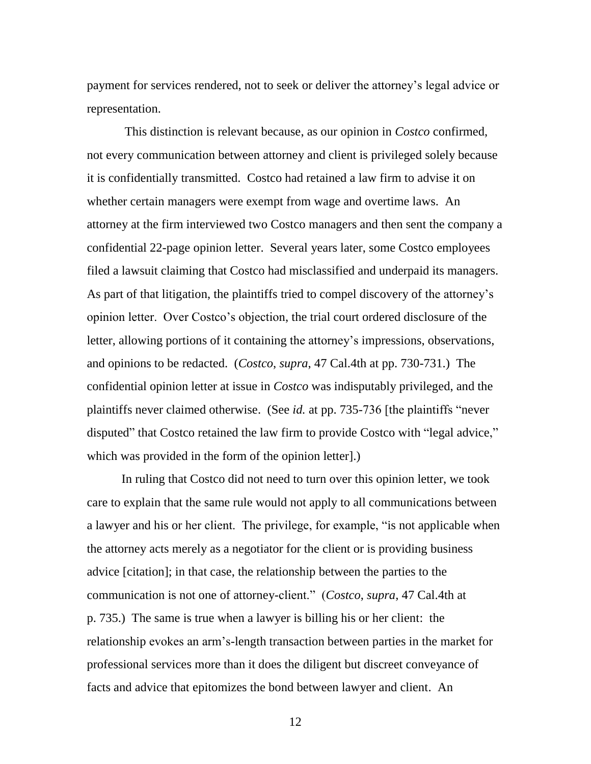payment for services rendered, not to seek or deliver the attorney's legal advice or representation.

This distinction is relevant because, as our opinion in *Costco* confirmed, not every communication between attorney and client is privileged solely because it is confidentially transmitted. Costco had retained a law firm to advise it on whether certain managers were exempt from wage and overtime laws. An attorney at the firm interviewed two Costco managers and then sent the company a confidential 22-page opinion letter. Several years later, some Costco employees filed a lawsuit claiming that Costco had misclassified and underpaid its managers. As part of that litigation, the plaintiffs tried to compel discovery of the attorney's opinion letter. Over Costco's objection, the trial court ordered disclosure of the letter, allowing portions of it containing the attorney's impressions, observations, and opinions to be redacted. (*Costco*, *supra*, 47 Cal.4th at pp. 730-731.) The confidential opinion letter at issue in *Costco* was indisputably privileged, and the plaintiffs never claimed otherwise. (See *id.* at pp. 735-736 [the plaintiffs "never disputed" that Costco retained the law firm to provide Costco with "legal advice," which was provided in the form of the opinion letter].)

In ruling that Costco did not need to turn over this opinion letter, we took care to explain that the same rule would not apply to all communications between a lawyer and his or her client. The privilege, for example, "is not applicable when the attorney acts merely as a negotiator for the client or is providing business advice [citation]; in that case, the relationship between the parties to the communication is not one of attorney-client.‖ (*Costco*, *supra*, 47 Cal.4th at p. 735.) The same is true when a lawyer is billing his or her client: the relationship evokes an arm's-length transaction between parties in the market for professional services more than it does the diligent but discreet conveyance of facts and advice that epitomizes the bond between lawyer and client. An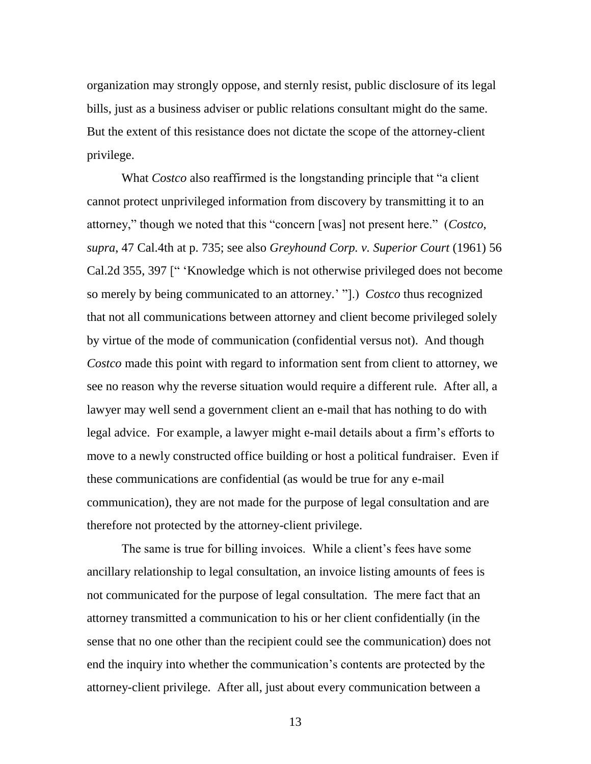organization may strongly oppose, and sternly resist, public disclosure of its legal bills, just as a business adviser or public relations consultant might do the same. But the extent of this resistance does not dictate the scope of the attorney-client privilege.

What *Costco* also reaffirmed is the longstanding principle that "a client" cannot protect unprivileged information from discovery by transmitting it to an attorney," though we noted that this "concern [was] not present here." (*Costco*, *supra*, 47 Cal.4th at p. 735; see also *Greyhound Corp. v. Superior Court* (1961) 56 Cal.2d 355, 397 [" 'Knowledge which is not otherwise privileged does not become so merely by being communicated to an attorney.' ‖].) *Costco* thus recognized that not all communications between attorney and client become privileged solely by virtue of the mode of communication (confidential versus not). And though *Costco* made this point with regard to information sent from client to attorney, we see no reason why the reverse situation would require a different rule. After all, a lawyer may well send a government client an e-mail that has nothing to do with legal advice. For example, a lawyer might e-mail details about a firm's efforts to move to a newly constructed office building or host a political fundraiser. Even if these communications are confidential (as would be true for any e-mail communication), they are not made for the purpose of legal consultation and are therefore not protected by the attorney-client privilege.

The same is true for billing invoices. While a client's fees have some ancillary relationship to legal consultation, an invoice listing amounts of fees is not communicated for the purpose of legal consultation. The mere fact that an attorney transmitted a communication to his or her client confidentially (in the sense that no one other than the recipient could see the communication) does not end the inquiry into whether the communication's contents are protected by the attorney-client privilege. After all, just about every communication between a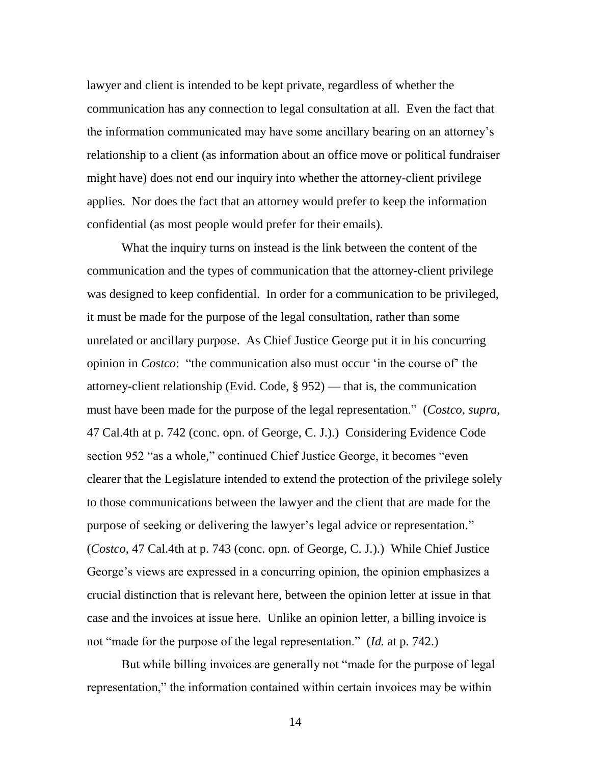lawyer and client is intended to be kept private, regardless of whether the communication has any connection to legal consultation at all. Even the fact that the information communicated may have some ancillary bearing on an attorney's relationship to a client (as information about an office move or political fundraiser might have) does not end our inquiry into whether the attorney-client privilege applies. Nor does the fact that an attorney would prefer to keep the information confidential (as most people would prefer for their emails).

What the inquiry turns on instead is the link between the content of the communication and the types of communication that the attorney-client privilege was designed to keep confidential. In order for a communication to be privileged, it must be made for the purpose of the legal consultation, rather than some unrelated or ancillary purpose. As Chief Justice George put it in his concurring opinion in *Costco*: "the communication also must occur 'in the course of' the attorney-client relationship (Evid. Code, § 952) — that is, the communication must have been made for the purpose of the legal representation.‖ (*Costco*, *supra*, 47 Cal.4th at p. 742 (conc. opn. of George, C. J.).) Considering Evidence Code section 952 "as a whole," continued Chief Justice George, it becomes "even clearer that the Legislature intended to extend the protection of the privilege solely to those communications between the lawyer and the client that are made for the purpose of seeking or delivering the lawyer's legal advice or representation." (*Costco*, 47 Cal.4th at p. 743 (conc. opn. of George, C. J.).) While Chief Justice George's views are expressed in a concurring opinion, the opinion emphasizes a crucial distinction that is relevant here, between the opinion letter at issue in that case and the invoices at issue here. Unlike an opinion letter, a billing invoice is not "made for the purpose of the legal representation." (*Id.* at p. 742.)

But while billing invoices are generally not "made for the purpose of legal" representation," the information contained within certain invoices may be within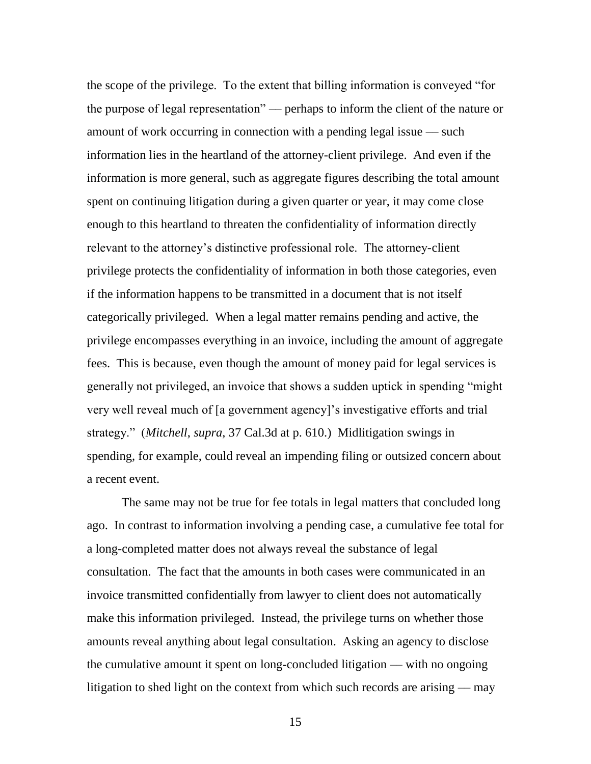the scope of the privilege. To the extent that billing information is conveyed "for the purpose of legal representation" — perhaps to inform the client of the nature or amount of work occurring in connection with a pending legal issue — such information lies in the heartland of the attorney-client privilege. And even if the information is more general, such as aggregate figures describing the total amount spent on continuing litigation during a given quarter or year, it may come close enough to this heartland to threaten the confidentiality of information directly relevant to the attorney's distinctive professional role. The attorney-client privilege protects the confidentiality of information in both those categories, even if the information happens to be transmitted in a document that is not itself categorically privileged. When a legal matter remains pending and active, the privilege encompasses everything in an invoice, including the amount of aggregate fees. This is because, even though the amount of money paid for legal services is generally not privileged, an invoice that shows a sudden uptick in spending "might" very well reveal much of [a government agency]'s investigative efforts and trial strategy.‖ (*Mitchell*, *supra*, 37 Cal.3d at p. 610.) Midlitigation swings in spending, for example, could reveal an impending filing or outsized concern about a recent event.

The same may not be true for fee totals in legal matters that concluded long ago. In contrast to information involving a pending case, a cumulative fee total for a long-completed matter does not always reveal the substance of legal consultation. The fact that the amounts in both cases were communicated in an invoice transmitted confidentially from lawyer to client does not automatically make this information privileged. Instead, the privilege turns on whether those amounts reveal anything about legal consultation. Asking an agency to disclose the cumulative amount it spent on long-concluded litigation –– with no ongoing litigation to shed light on the context from which such records are arising  $-$  may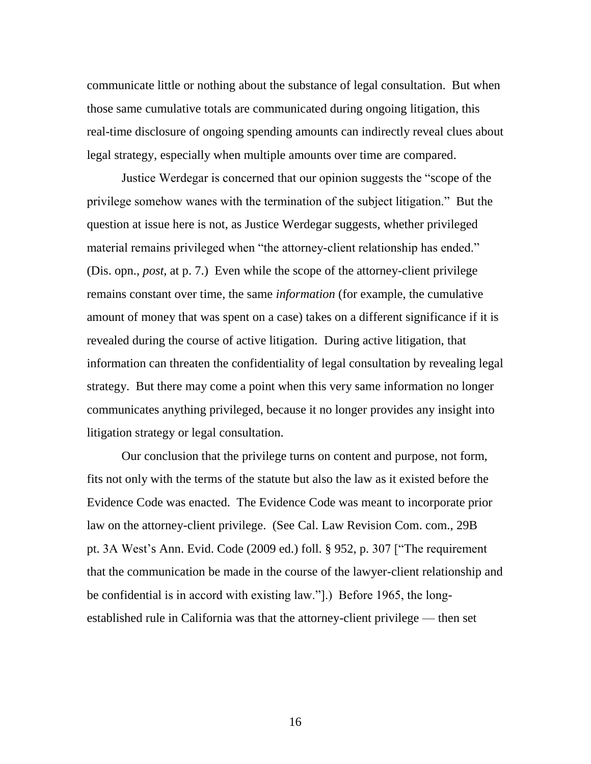communicate little or nothing about the substance of legal consultation. But when those same cumulative totals are communicated during ongoing litigation, this real-time disclosure of ongoing spending amounts can indirectly reveal clues about legal strategy, especially when multiple amounts over time are compared.

Justice Werdegar is concerned that our opinion suggests the "scope of the privilege somehow wanes with the termination of the subject litigation." But the question at issue here is not, as Justice Werdegar suggests, whether privileged material remains privileged when "the attorney-client relationship has ended." (Dis. opn., *post*, at p. 7.) Even while the scope of the attorney-client privilege remains constant over time, the same *information* (for example, the cumulative amount of money that was spent on a case) takes on a different significance if it is revealed during the course of active litigation. During active litigation, that information can threaten the confidentiality of legal consultation by revealing legal strategy. But there may come a point when this very same information no longer communicates anything privileged, because it no longer provides any insight into litigation strategy or legal consultation.

Our conclusion that the privilege turns on content and purpose, not form, fits not only with the terms of the statute but also the law as it existed before the Evidence Code was enacted. The Evidence Code was meant to incorporate prior law on the attorney-client privilege. (See Cal. Law Revision Com. com., 29B pt. 3A West's Ann. Evid. Code  $(2009 \text{ ed.})$  foll. § 952, p. 307 ["The requirement that the communication be made in the course of the lawyer-client relationship and be confidential is in accord with existing law.".) Before 1965, the longestablished rule in California was that the attorney-client privilege — then set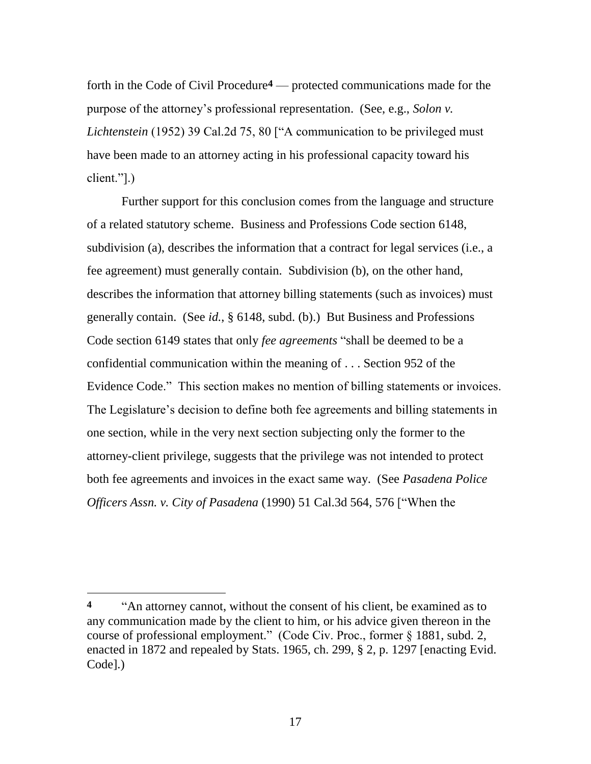forth in the Code of Civil Procedure**4** — protected communications made for the purpose of the attorney's professional representation. (See, e.g., *Solon v. Lichtenstein* (1952) 39 Cal.2d 75, 80 ["A communication to be privileged must have been made to an attorney acting in his professional capacity toward his  $client."$ ].)

Further support for this conclusion comes from the language and structure of a related statutory scheme. Business and Professions Code section 6148, subdivision (a), describes the information that a contract for legal services (i.e., a fee agreement) must generally contain. Subdivision (b), on the other hand, describes the information that attorney billing statements (such as invoices) must generally contain. (See *id.*, § 6148, subd. (b).) But Business and Professions Code section 6149 states that only *fee agreements* "shall be deemed to be a confidential communication within the meaning of . . . Section 952 of the Evidence Code." This section makes no mention of billing statements or invoices. The Legislature's decision to define both fee agreements and billing statements in one section, while in the very next section subjecting only the former to the attorney-client privilege, suggests that the privilege was not intended to protect both fee agreements and invoices in the exact same way. (See *Pasadena Police Officers Assn. v. City of Pasadena* (1990) 51 Cal.3d 564, 576 ["When the

<sup>&</sup>lt;sup>4</sup> <sup>An</sup> attorney cannot, without the consent of his client, be examined as to any communication made by the client to him, or his advice given thereon in the course of professional employment." (Code Civ. Proc., former § 1881, subd. 2, enacted in 1872 and repealed by Stats. 1965, ch. 299, § 2, p. 1297 [enacting Evid. Code].)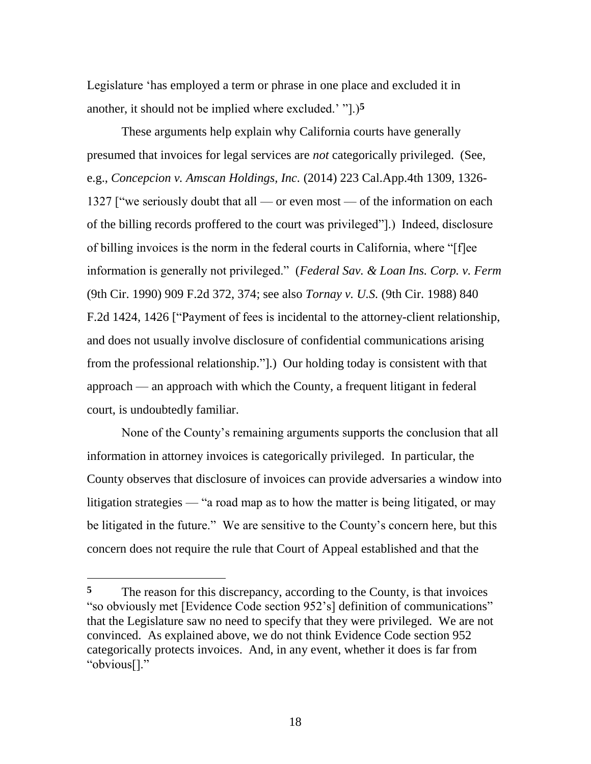Legislature 'has employed a term or phrase in one place and excluded it in another, it should not be implied where excluded.' "[...]<sup>5</sup>

These arguments help explain why California courts have generally presumed that invoices for legal services are *not* categorically privileged. (See, e.g., *Concepcion v. Amscan Holdings, Inc.* (2014) 223 Cal.App.4th 1309, 1326- 1327 ["we seriously doubt that all — or even most — of the information on each of the billing records proffered to the court was privileged‖].) Indeed, disclosure of billing invoices is the norm in the federal courts in California, where "[f]ee information is generally not privileged.‖ (*Federal Sav. & Loan Ins. Corp. v. Ferm* (9th Cir. 1990) 909 F.2d 372, 374; see also *Tornay v. U.S.* (9th Cir. 1988) 840 F.2d 1424, 1426 ["Payment of fees is incidental to the attorney-client relationship, and does not usually involve disclosure of confidential communications arising from the professional relationship.".) Our holding today is consistent with that approach — an approach with which the County, a frequent litigant in federal court, is undoubtedly familiar.

None of the County's remaining arguments supports the conclusion that all information in attorney invoices is categorically privileged. In particular, the County observes that disclosure of invoices can provide adversaries a window into litigation strategies — "a road map as to how the matter is being litigated, or may be litigated in the future." We are sensitive to the County's concern here, but this concern does not require the rule that Court of Appeal established and that the

<sup>&</sup>lt;sup>5</sup> The reason for this discrepancy, according to the County, is that invoices "so obviously met [Evidence Code section 952's] definition of communications" that the Legislature saw no need to specify that they were privileged. We are not convinced. As explained above, we do not think Evidence Code section 952 categorically protects invoices. And, in any event, whether it does is far from "obvious[]."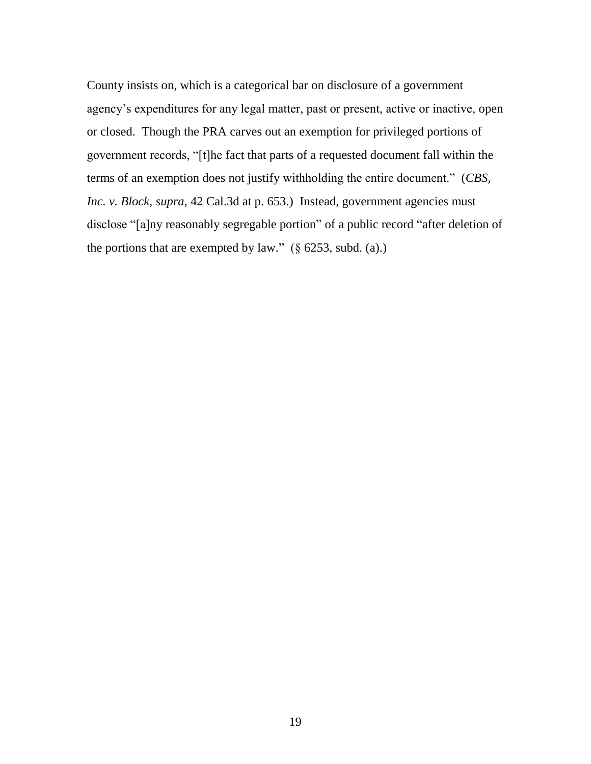County insists on, which is a categorical bar on disclosure of a government agency's expenditures for any legal matter, past or present, active or inactive, open or closed. Though the PRA carves out an exemption for privileged portions of government records, "[t]he fact that parts of a requested document fall within the terms of an exemption does not justify withholding the entire document." (*CBS*, *Inc. v. Block, supra,* 42 Cal.3d at p. 653.) Instead, government agencies must disclose "[a]ny reasonably segregable portion" of a public record "after deletion of the portions that are exempted by law."  $(\S$  6253, subd. (a).)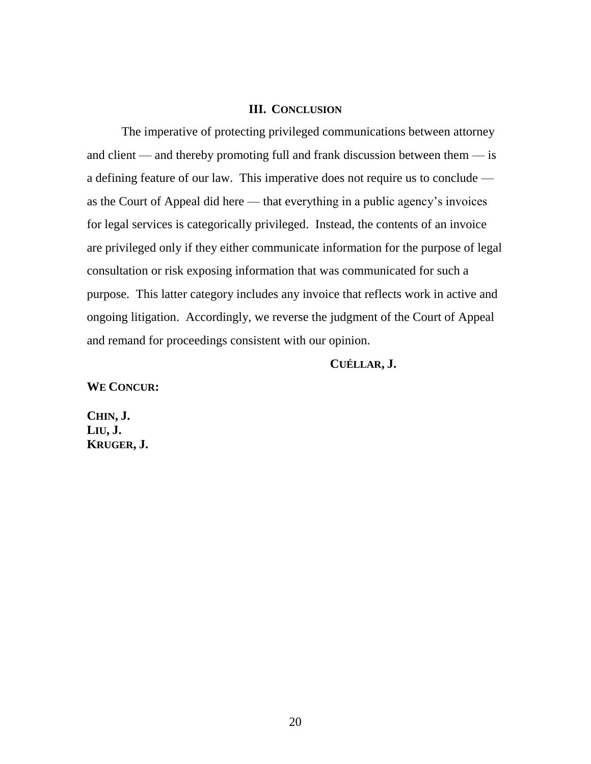# **III. CONCLUSION**

The imperative of protecting privileged communications between attorney and client — and thereby promoting full and frank discussion between them  $-$  is a defining feature of our law. This imperative does not require us to conclude as the Court of Appeal did here — that everything in a public agency's invoices for legal services is categorically privileged. Instead, the contents of an invoice are privileged only if they either communicate information for the purpose of legal consultation or risk exposing information that was communicated for such a purpose. This latter category includes any invoice that reflects work in active and ongoing litigation. Accordingly, we reverse the judgment of the Court of Appeal and remand for proceedings consistent with our opinion.

# **CUÉLLAR, J.**

**WE CONCUR:**

**CHIN, J. LIU, J. KRUGER, J.**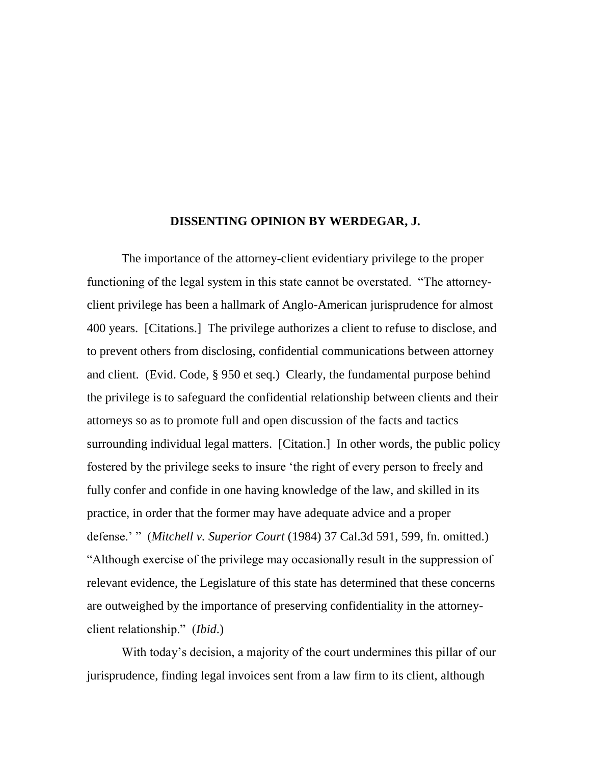### **DISSENTING OPINION BY WERDEGAR, J.**

The importance of the attorney-client evidentiary privilege to the proper functioning of the legal system in this state cannot be overstated. "The attorneyclient privilege has been a hallmark of Anglo-American jurisprudence for almost 400 years. [Citations.] The privilege authorizes a client to refuse to disclose, and to prevent others from disclosing, confidential communications between attorney and client. (Evid. Code, § 950 et seq.) Clearly, the fundamental purpose behind the privilege is to safeguard the confidential relationship between clients and their attorneys so as to promote full and open discussion of the facts and tactics surrounding individual legal matters. [Citation.] In other words, the public policy fostered by the privilege seeks to insure 'the right of every person to freely and fully confer and confide in one having knowledge of the law, and skilled in its practice, in order that the former may have adequate advice and a proper defense.' ‖ (*Mitchell v. Superior Court* (1984) 37 Cal.3d 591, 599, fn. omitted.) ―Although exercise of the privilege may occasionally result in the suppression of relevant evidence, the Legislature of this state has determined that these concerns are outweighed by the importance of preserving confidentiality in the attorneyclient relationship." *(Ibid.)* 

With today's decision, a majority of the court undermines this pillar of our jurisprudence, finding legal invoices sent from a law firm to its client, although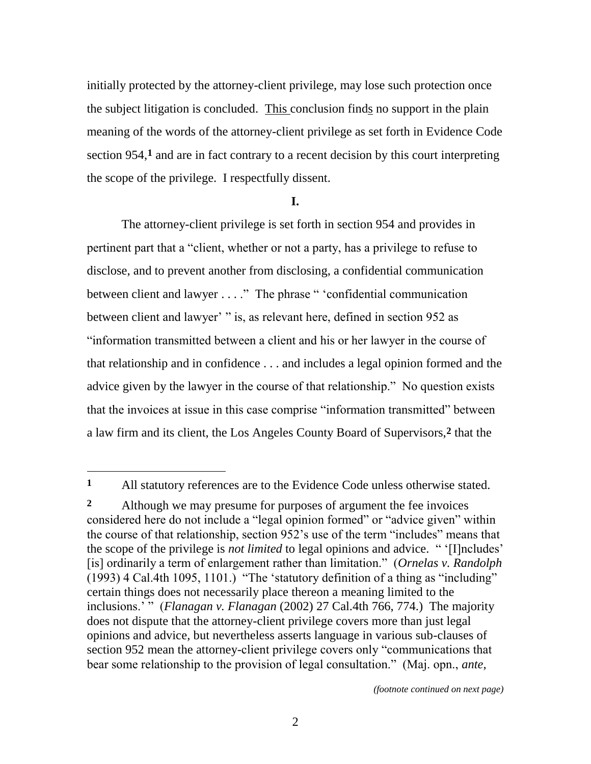initially protected by the attorney-client privilege, may lose such protection once the subject litigation is concluded. This conclusion finds no support in the plain meaning of the words of the attorney-client privilege as set forth in Evidence Code section 954,**1** and are in fact contrary to a recent decision by this court interpreting the scope of the privilege. I respectfully dissent.

### **I.**

The attorney-client privilege is set forth in section 954 and provides in pertinent part that a "client, whether or not a party, has a privilege to refuse to disclose, and to prevent another from disclosing, a confidential communication between client and lawyer  $\dots$ ." The phrase " 'confidential communication between client and lawyer' " is, as relevant here, defined in section 952 as ―information transmitted between a client and his or her lawyer in the course of that relationship and in confidence . . . and includes a legal opinion formed and the advice given by the lawyer in the course of that relationship." No question exists that the invoices at issue in this case comprise "information transmitted" between a law firm and its client, the Los Angeles County Board of Supervisors,**2** that the

 $\overline{a}$ 

**<sup>1</sup>** All statutory references are to the Evidence Code unless otherwise stated.

**<sup>2</sup>** Although we may presume for purposes of argument the fee invoices considered here do not include a "legal opinion formed" or "advice given" within the course of that relationship, section 952's use of the term "includes" means that the scope of the privilege is *not limited* to legal opinions and advice. " '[I]ncludes' [is] ordinarily a term of enlargement rather than limitation.‖ (*Ornelas v. Randolph*  $(1993)$  4 Cal.4th 1095, 1101.) "The 'statutory definition of a thing as "including" certain things does not necessarily place thereon a meaning limited to the inclusions.' " (*Flanagan v. Flanagan* (2002) 27 Cal.4th 766, 774.) The majority does not dispute that the attorney-client privilege covers more than just legal opinions and advice, but nevertheless asserts language in various sub-clauses of section 952 mean the attorney-client privilege covers only "communications that bear some relationship to the provision of legal consultation." (Maj. opn., *ante*,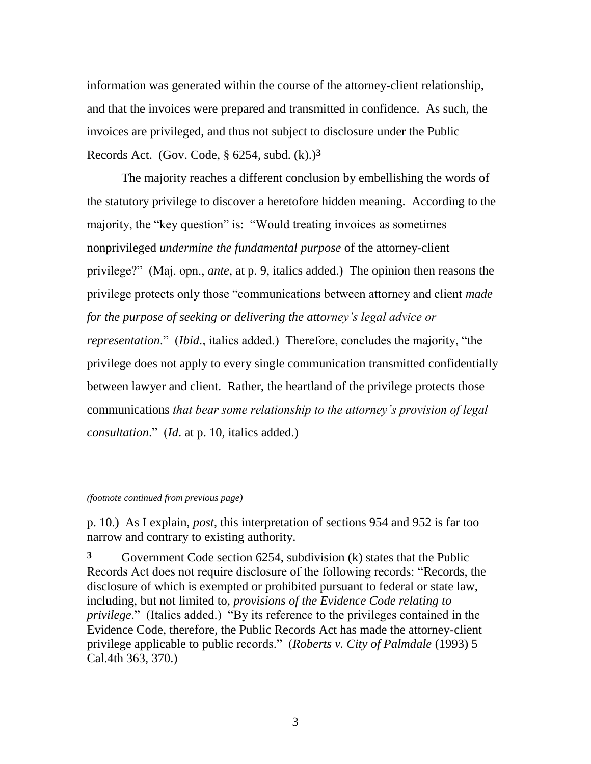information was generated within the course of the attorney-client relationship, and that the invoices were prepared and transmitted in confidence. As such, the invoices are privileged, and thus not subject to disclosure under the Public Records Act. (Gov. Code, § 6254, subd. (k).)**3**

The majority reaches a different conclusion by embellishing the words of the statutory privilege to discover a heretofore hidden meaning. According to the majority, the "key question" is: "Would treating invoices as sometimes nonprivileged *undermine the fundamental purpose* of the attorney-client privilege?‖ (Maj. opn., *ante*, at p. 9, italics added.) The opinion then reasons the privilege protects only those "communications between attorney and client *made for the purpose of seeking or delivering the attorney's legal advice or representation.*" (*Ibid.*, italics added.) Therefore, concludes the majority, "the privilege does not apply to every single communication transmitted confidentially between lawyer and client. Rather, the heartland of the privilege protects those communications *that bear some relationship to the attorney's provision of legal consultation*.‖ (*Id*. at p. 10, italics added.)

*(footnote continued from previous page)*

l

p. 10.) As I explain, *post*, this interpretation of sections 954 and 952 is far too narrow and contrary to existing authority.

**3** Government Code section 6254, subdivision (k) states that the Public Records Act does not require disclosure of the following records: "Records, the disclosure of which is exempted or prohibited pursuant to federal or state law, including, but not limited to, *provisions of the Evidence Code relating to privilege.*" (Italics added.) "By its reference to the privileges contained in the Evidence Code, therefore, the Public Records Act has made the attorney-client privilege applicable to public records.‖ (*Roberts v. City of Palmdale* (1993) 5 Cal.4th 363, 370.)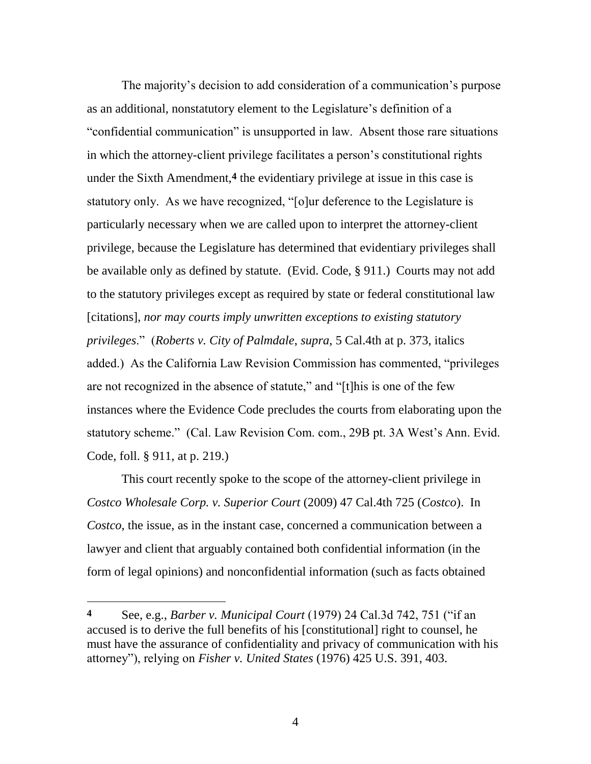The majority's decision to add consideration of a communication's purpose as an additional, nonstatutory element to the Legislature's definition of a ―confidential communication‖ is unsupported in law. Absent those rare situations in which the attorney-client privilege facilitates a person's constitutional rights under the Sixth Amendment,**4** the evidentiary privilege at issue in this case is statutory only. As we have recognized, "[o]ur deference to the Legislature is particularly necessary when we are called upon to interpret the attorney-client privilege, because the Legislature has determined that evidentiary privileges shall be available only as defined by statute. (Evid. Code, § 911.) Courts may not add to the statutory privileges except as required by state or federal constitutional law [citations], *nor may courts imply unwritten exceptions to existing statutory privileges*.‖ (*Roberts v. City of Palmdale*, *supra*, 5 Cal.4th at p. 373, italics added.) As the California Law Revision Commission has commented, "privileges" are not recognized in the absence of statute," and "[t]his is one of the few instances where the Evidence Code precludes the courts from elaborating upon the statutory scheme." (Cal. Law Revision Com. com., 29B pt. 3A West's Ann. Evid. Code, foll. § 911, at p. 219.)

This court recently spoke to the scope of the attorney-client privilege in *Costco Wholesale Corp. v. Superior Court* (2009) 47 Cal.4th 725 (*Costco*). In *Costco*, the issue, as in the instant case, concerned a communication between a lawyer and client that arguably contained both confidential information (in the form of legal opinions) and nonconfidential information (such as facts obtained

**<sup>4</sup>** See, e.g., *Barber v. Municipal Court* (1979) 24 Cal.3d 742, 751 ("if an accused is to derive the full benefits of his [constitutional] right to counsel, he must have the assurance of confidentiality and privacy of communication with his attorney‖), relying on *Fisher v. United States* (1976) 425 U.S. 391, 403.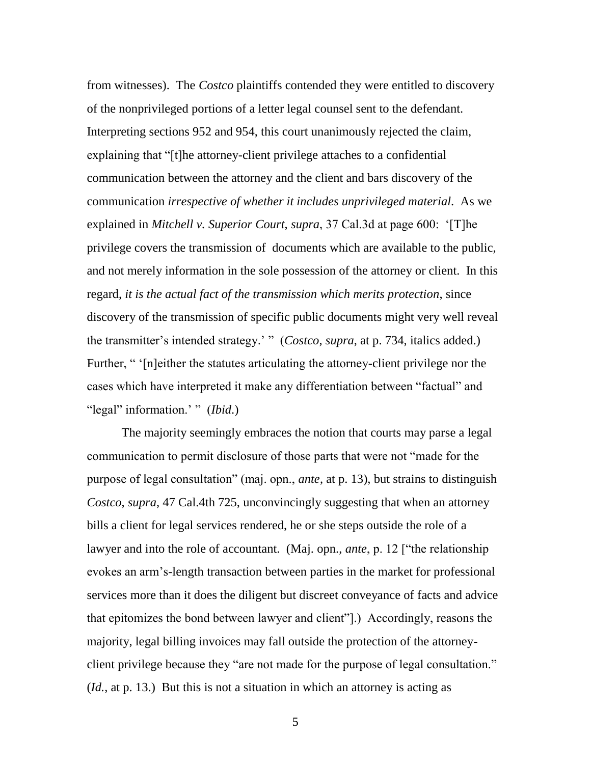from witnesses). The *Costco* plaintiffs contended they were entitled to discovery of the nonprivileged portions of a letter legal counsel sent to the defendant. Interpreting sections 952 and 954, this court unanimously rejected the claim, explaining that "[t]he attorney-client privilege attaches to a confidential communication between the attorney and the client and bars discovery of the communication *irrespective of whether it includes unprivileged material*. As we explained in *Mitchell v. Superior Court, supra,* 37 Cal.3d at page 600: '[T]he privilege covers the transmission of documents which are available to the public, and not merely information in the sole possession of the attorney or client. In this regard, *it is the actual fact of the transmission which merits protection*, since discovery of the transmission of specific public documents might very well reveal the transmitter's intended strategy.' " (*Costco*, *supra*, at p. 734, italics added.) Further, " '[n]either the statutes articulating the attorney-client privilege nor the cases which have interpreted it make any differentiation between "factual" and "legal" information.' " *(Ibid.)* 

The majority seemingly embraces the notion that courts may parse a legal communication to permit disclosure of those parts that were not "made for the purpose of legal consultation" (maj. opn., *ante*, at p. 13), but strains to distinguish *Costco*, *supra*, 47 Cal.4th 725, unconvincingly suggesting that when an attorney bills a client for legal services rendered, he or she steps outside the role of a lawyer and into the role of accountant. (Maj. opn., *ante*, p. 12 ["the relationship" evokes an arm's-length transaction between parties in the market for professional services more than it does the diligent but discreet conveyance of facts and advice that epitomizes the bond between lawyer and client".) Accordingly, reasons the majority, legal billing invoices may fall outside the protection of the attorneyclient privilege because they "are not made for the purpose of legal consultation." (*Id.*, at p. 13.) But this is not a situation in which an attorney is acting as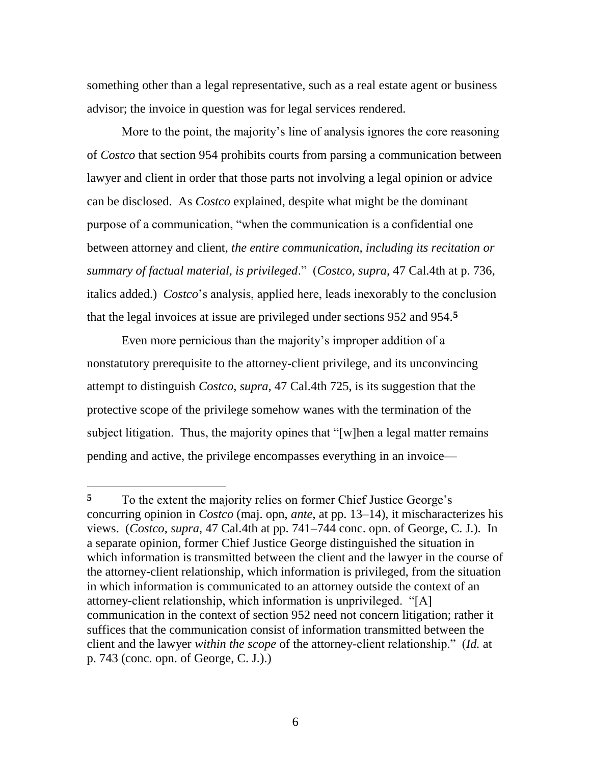something other than a legal representative, such as a real estate agent or business advisor; the invoice in question was for legal services rendered.

More to the point, the majority's line of analysis ignores the core reasoning of *Costco* that section 954 prohibits courts from parsing a communication between lawyer and client in order that those parts not involving a legal opinion or advice can be disclosed. As *Costco* explained, despite what might be the dominant purpose of a communication, "when the communication is a confidential one between attorney and client, *the entire communication, including its recitation or summary of factual material, is privileged*.‖ (*Costco, supra,* 47 Cal.4th at p. 736, italics added.) *Costco*'s analysis, applied here, leads inexorably to the conclusion that the legal invoices at issue are privileged under sections 952 and 954.**5**

Even more pernicious than the majority's improper addition of a nonstatutory prerequisite to the attorney-client privilege, and its unconvincing attempt to distinguish *Costco*, *supra*, 47 Cal.4th 725, is its suggestion that the protective scope of the privilege somehow wanes with the termination of the subject litigation. Thus, the majority opines that "[w]hen a legal matter remains pending and active, the privilege encompasses everything in an invoice—

**<sup>5</sup>** To the extent the majority relies on former Chief Justice George's concurring opinion in *Costco* (maj. opn, *ante*, at pp. 13–14), it mischaracterizes his views. (*Costco*, *supra*, 47 Cal.4th at pp. 741–744 conc. opn. of George, C. J.). In a separate opinion, former Chief Justice George distinguished the situation in which information is transmitted between the client and the lawyer in the course of the attorney-client relationship, which information is privileged, from the situation in which information is communicated to an attorney outside the context of an attorney-client relationship, which information is unprivileged. "[A] communication in the context of section 952 need not concern litigation; rather it suffices that the communication consist of information transmitted between the client and the lawyer *within the scope* of the attorney-client relationship." (*Id.* at p. 743 (conc. opn. of George, C. J.).)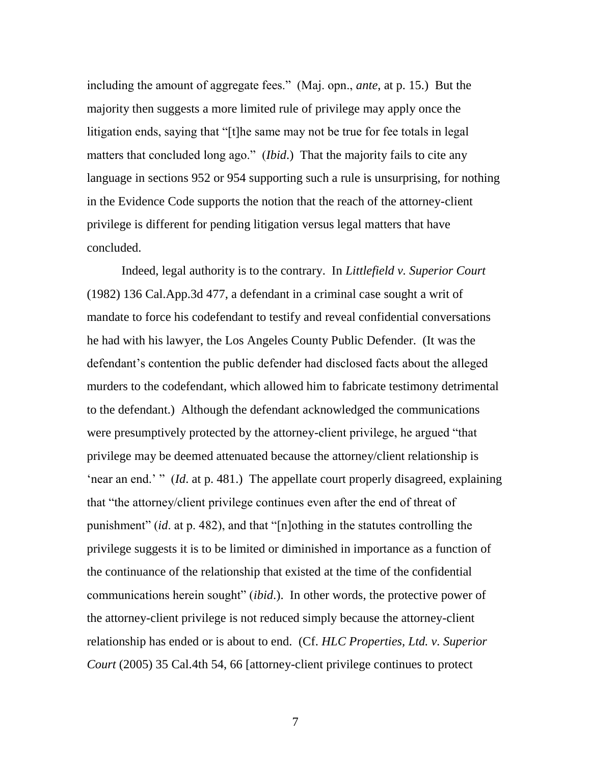including the amount of aggregate fees." (Maj. opn., *ante*, at p. 15.) But the majority then suggests a more limited rule of privilege may apply once the litigation ends, saying that "[t]he same may not be true for fee totals in legal matters that concluded long ago." *(Ibid.)* That the majority fails to cite any language in sections 952 or 954 supporting such a rule is unsurprising, for nothing in the Evidence Code supports the notion that the reach of the attorney-client privilege is different for pending litigation versus legal matters that have concluded.

Indeed, legal authority is to the contrary. In *Littlefield v. Superior Court* (1982) 136 Cal.App.3d 477, a defendant in a criminal case sought a writ of mandate to force his codefendant to testify and reveal confidential conversations he had with his lawyer, the Los Angeles County Public Defender. (It was the defendant's contention the public defender had disclosed facts about the alleged murders to the codefendant, which allowed him to fabricate testimony detrimental to the defendant.) Although the defendant acknowledged the communications were presumptively protected by the attorney-client privilege, he argued "that privilege may be deemed attenuated because the attorney/client relationship is ‗near an end.' ‖ (*Id*. at p. 481.) The appellate court properly disagreed, explaining that "the attorney/client privilege continues even after the end of threat of punishment" (*id.* at p. 482), and that "[n]othing in the statutes controlling the privilege suggests it is to be limited or diminished in importance as a function of the continuance of the relationship that existed at the time of the confidential communications herein sought" *(ibid.)*. In other words, the protective power of the attorney-client privilege is not reduced simply because the attorney-client relationship has ended or is about to end. (Cf. *HLC Properties, Ltd. v. Superior Court* (2005) 35 Cal.4th 54, 66 [attorney-client privilege continues to protect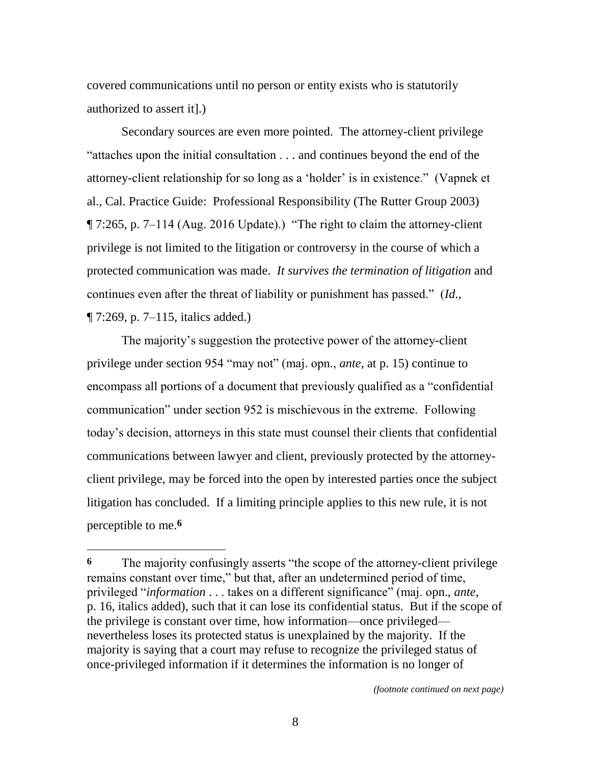covered communications until no person or entity exists who is statutorily authorized to assert it].)

Secondary sources are even more pointed. The attorney-client privilege "attaches upon the initial consultation  $\ldots$  and continues beyond the end of the attorney-client relationship for so long as a 'holder' is in existence." (Vapnek et al., Cal. Practice Guide: Professional Responsibility (The Rutter Group 2003)  $\P$  7:265, p. 7–114 (Aug. 2016 Update).) "The right to claim the attorney-client privilege is not limited to the litigation or controversy in the course of which a protected communication was made. *It survives the termination of litigation* and continues even after the threat of liability or punishment has passed." (*Id.*, ¶ 7:269, p. 7–115, italics added.)

The majority's suggestion the protective power of the attorney-client privilege under section 954 "may not" (maj. opn., *ante*, at p. 15) continue to encompass all portions of a document that previously qualified as a "confidential" communication" under section 952 is mischievous in the extreme. Following today's decision, attorneys in this state must counsel their clients that confidential communications between lawyer and client, previously protected by the attorneyclient privilege, may be forced into the open by interested parties once the subject litigation has concluded. If a limiting principle applies to this new rule, it is not perceptible to me.**6**

 $\overline{a}$ 

**<sup>6</sup>** The majority confusingly asserts "the scope of the attorney-client privilege remains constant over time," but that, after an undetermined period of time, privileged ―*information* . . . takes on a different significance‖ (maj. opn., *ante*, p. 16, italics added), such that it can lose its confidential status. But if the scope of the privilege is constant over time, how information—once privileged nevertheless loses its protected status is unexplained by the majority. If the majority is saying that a court may refuse to recognize the privileged status of once-privileged information if it determines the information is no longer of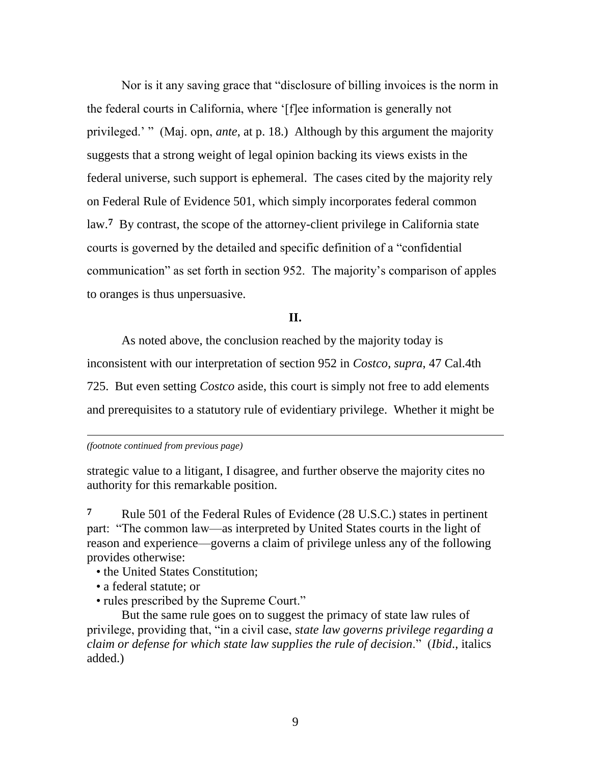Nor is it any saving grace that "disclosure of billing invoices is the norm in the federal courts in California, where ‗[f]ee information is generally not privileged.' " (Maj. opn, *ante*, at p. 18.) Although by this argument the majority suggests that a strong weight of legal opinion backing its views exists in the federal universe, such support is ephemeral. The cases cited by the majority rely on Federal Rule of Evidence 501, which simply incorporates federal common law.**7** By contrast, the scope of the attorney-client privilege in California state courts is governed by the detailed and specific definition of a "confidential" communication" as set forth in section 952. The majority's comparison of apples to oranges is thus unpersuasive.

**II.**

As noted above, the conclusion reached by the majority today is inconsistent with our interpretation of section 952 in *Costco*, *supra*, 47 Cal.4th 725. But even setting *Costco* aside, this court is simply not free to add elements and prerequisites to a statutory rule of evidentiary privilege. Whether it might be

 $\overline{\phantom{a}}$ *(footnote continued from previous page)*

strategic value to a litigant, I disagree, and further observe the majority cites no authority for this remarkable position.

**7** Rule 501 of the Federal Rules of Evidence (28 U.S.C.) states in pertinent part: "The common law—as interpreted by United States courts in the light of reason and experience—governs a claim of privilege unless any of the following provides otherwise:

- the United States Constitution;
- a federal statute; or
- rules prescribed by the Supreme Court."

But the same rule goes on to suggest the primacy of state law rules of privilege, providing that, ―in a civil case, *state law governs privilege regarding a claim or defense for which state law supplies the rule of decision*.‖ (*Ibid*., italics added.)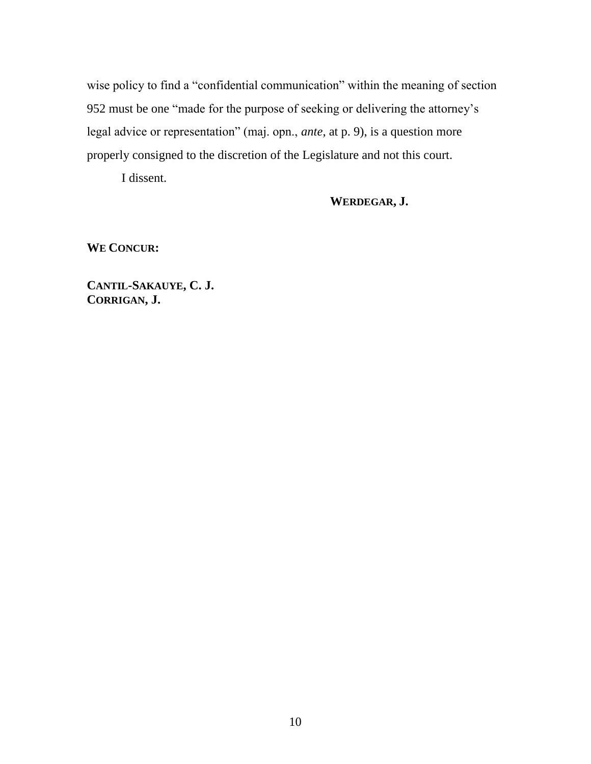wise policy to find a "confidential communication" within the meaning of section 952 must be one "made for the purpose of seeking or delivering the attorney's legal advice or representation" (maj. opn., *ante*, at p. 9), is a question more properly consigned to the discretion of the Legislature and not this court.

I dissent.

**WERDEGAR, J.**

**WE CONCUR:**

**CANTIL-SAKAUYE, C. J. CORRIGAN, J.**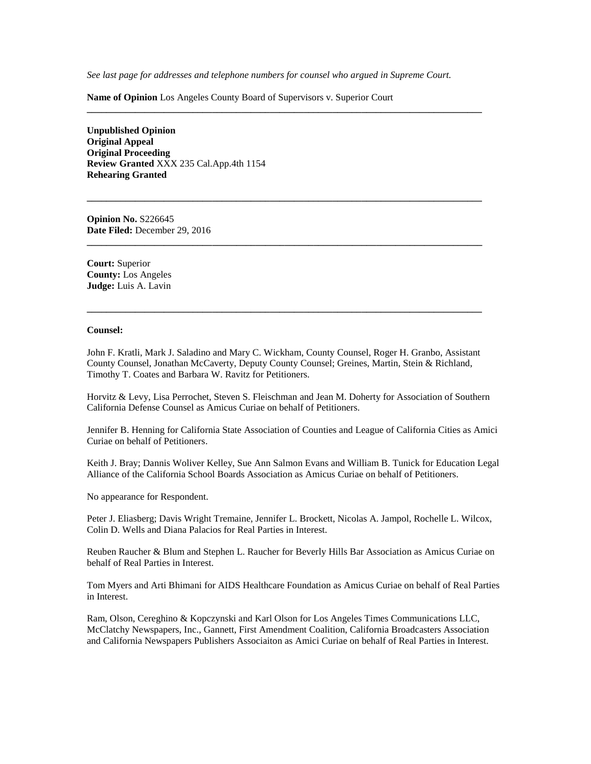*See last page for addresses and telephone numbers for counsel who argued in Supreme Court.*

**\_\_\_\_\_\_\_\_\_\_\_\_\_\_\_\_\_\_\_\_\_\_\_\_\_\_\_\_\_\_\_\_\_\_\_\_\_\_\_\_\_\_\_\_\_\_\_\_\_\_\_\_\_\_\_\_\_\_\_\_\_\_\_\_\_\_\_\_\_\_\_\_\_\_\_\_\_\_\_\_\_\_**

**\_\_\_\_\_\_\_\_\_\_\_\_\_\_\_\_\_\_\_\_\_\_\_\_\_\_\_\_\_\_\_\_\_\_\_\_\_\_\_\_\_\_\_\_\_\_\_\_\_\_\_\_\_\_\_\_\_\_\_\_\_\_\_\_\_\_\_\_\_\_\_\_\_\_\_\_\_\_\_\_\_\_**

**\_\_\_\_\_\_\_\_\_\_\_\_\_\_\_\_\_\_\_\_\_\_\_\_\_\_\_\_\_\_\_\_\_\_\_\_\_\_\_\_\_\_\_\_\_\_\_\_\_\_\_\_\_\_\_\_\_\_\_\_\_\_\_\_\_\_\_\_\_\_\_\_\_\_\_\_\_\_\_\_\_\_**

**Name of Opinion** Los Angeles County Board of Supervisors v. Superior Court

**Unpublished Opinion Original Appeal Original Proceeding Review Granted** XXX 235 Cal.App.4th 1154 **Rehearing Granted**

**Opinion No.** S226645 **Date Filed:** December 29, 2016

**Court:** Superior **County:** Los Angeles **Judge:** Luis A. Lavin

#### **Counsel:**

John F. Kratli, Mark J. Saladino and Mary C. Wickham, County Counsel, Roger H. Granbo, Assistant County Counsel, Jonathan McCaverty, Deputy County Counsel; Greines, Martin, Stein & Richland, Timothy T. Coates and Barbara W. Ravitz for Petitioners.

**\_\_\_\_\_\_\_\_\_\_\_\_\_\_\_\_\_\_\_\_\_\_\_\_\_\_\_\_\_\_\_\_\_\_\_\_\_\_\_\_\_\_\_\_\_\_\_\_\_\_\_\_\_\_\_\_\_\_\_\_\_\_\_\_\_\_\_\_\_\_\_\_\_\_\_\_\_\_\_\_\_\_**

Horvitz & Levy, Lisa Perrochet, Steven S. Fleischman and Jean M. Doherty for Association of Southern California Defense Counsel as Amicus Curiae on behalf of Petitioners.

Jennifer B. Henning for California State Association of Counties and League of California Cities as Amici Curiae on behalf of Petitioners.

Keith J. Bray; Dannis Woliver Kelley, Sue Ann Salmon Evans and William B. Tunick for Education Legal Alliance of the California School Boards Association as Amicus Curiae on behalf of Petitioners.

No appearance for Respondent.

Peter J. Eliasberg; Davis Wright Tremaine, Jennifer L. Brockett, Nicolas A. Jampol, Rochelle L. Wilcox, Colin D. Wells and Diana Palacios for Real Parties in Interest.

Reuben Raucher & Blum and Stephen L. Raucher for Beverly Hills Bar Association as Amicus Curiae on behalf of Real Parties in Interest.

Tom Myers and Arti Bhimani for AIDS Healthcare Foundation as Amicus Curiae on behalf of Real Parties in Interest.

Ram, Olson, Cereghino & Kopczynski and Karl Olson for Los Angeles Times Communications LLC, McClatchy Newspapers, Inc., Gannett, First Amendment Coalition, California Broadcasters Association and California Newspapers Publishers Associaiton as Amici Curiae on behalf of Real Parties in Interest.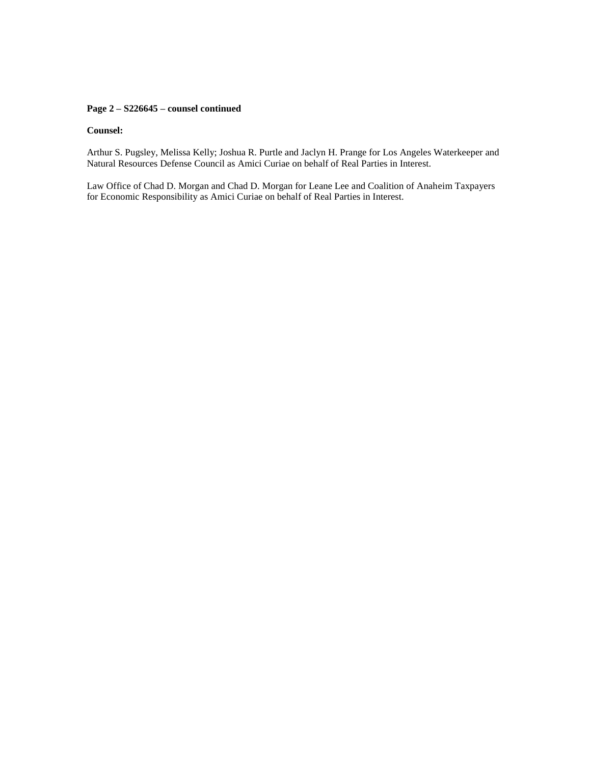### **Page 2 – S226645 – counsel continued**

#### **Counsel:**

Arthur S. Pugsley, Melissa Kelly; Joshua R. Purtle and Jaclyn H. Prange for Los Angeles Waterkeeper and Natural Resources Defense Council as Amici Curiae on behalf of Real Parties in Interest.

Law Office of Chad D. Morgan and Chad D. Morgan for Leane Lee and Coalition of Anaheim Taxpayers for Economic Responsibility as Amici Curiae on behalf of Real Parties in Interest.